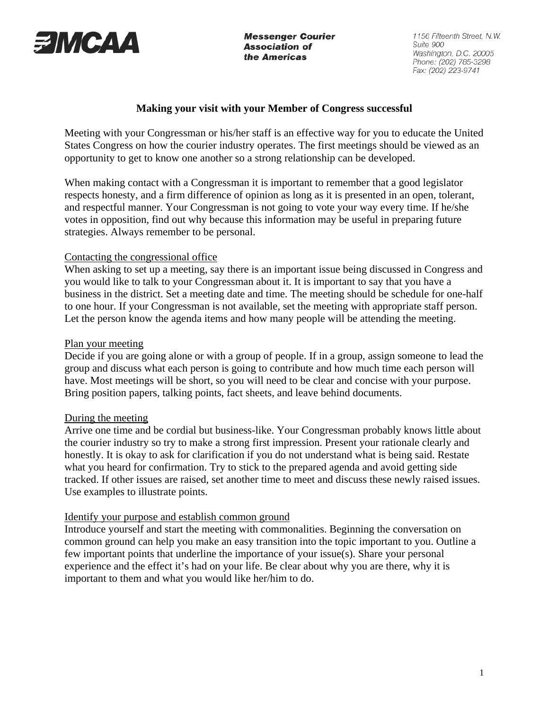

**Messenger Courier Association of** the Americas

1156 Fifteenth Street, N.W. Suite 900 Washington, D.C. 20005 Phone: (202) 785-3298 Fax: (202) 223-9741

# **Making your visit with your Member of Congress successful**

Meeting with your Congressman or his/her staff is an effective way for you to educate the United States Congress on how the courier industry operates. The first meetings should be viewed as an opportunity to get to know one another so a strong relationship can be developed.

When making contact with a Congressman it is important to remember that a good legislator respects honesty, and a firm difference of opinion as long as it is presented in an open, tolerant, and respectful manner. Your Congressman is not going to vote your way every time. If he/she votes in opposition, find out why because this information may be useful in preparing future strategies. Always remember to be personal.

### Contacting the congressional office

When asking to set up a meeting, say there is an important issue being discussed in Congress and you would like to talk to your Congressman about it. It is important to say that you have a business in the district. Set a meeting date and time. The meeting should be schedule for one-half to one hour. If your Congressman is not available, set the meeting with appropriate staff person. Let the person know the agenda items and how many people will be attending the meeting.

# Plan your meeting

Decide if you are going alone or with a group of people. If in a group, assign someone to lead the group and discuss what each person is going to contribute and how much time each person will have. Most meetings will be short, so you will need to be clear and concise with your purpose. Bring position papers, talking points, fact sheets, and leave behind documents.

### During the meeting

Arrive one time and be cordial but business-like. Your Congressman probably knows little about the courier industry so try to make a strong first impression. Present your rationale clearly and honestly. It is okay to ask for clarification if you do not understand what is being said. Restate what you heard for confirmation. Try to stick to the prepared agenda and avoid getting side tracked. If other issues are raised, set another time to meet and discuss these newly raised issues. Use examples to illustrate points.

### Identify your purpose and establish common ground

Introduce yourself and start the meeting with commonalities. Beginning the conversation on common ground can help you make an easy transition into the topic important to you. Outline a few important points that underline the importance of your issue(s). Share your personal experience and the effect it's had on your life. Be clear about why you are there, why it is important to them and what you would like her/him to do.